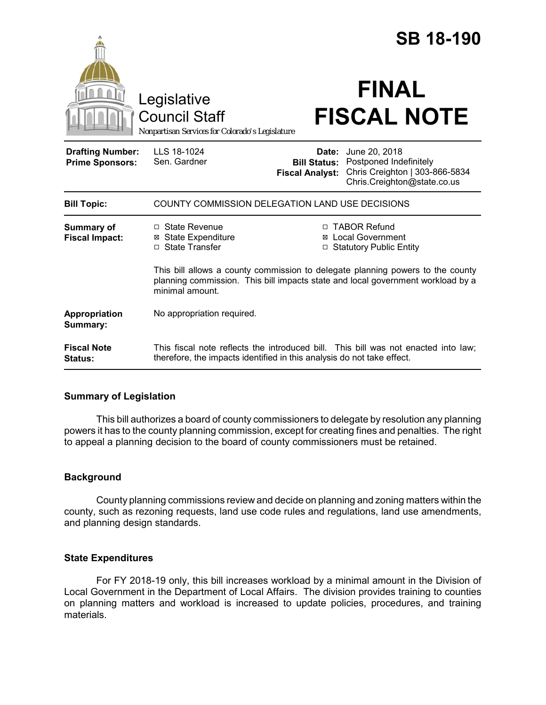|                                                   |                                                                                                                                                                                      |                                                        | <b>SB 18-190</b>                                                                                         |  |
|---------------------------------------------------|--------------------------------------------------------------------------------------------------------------------------------------------------------------------------------------|--------------------------------------------------------|----------------------------------------------------------------------------------------------------------|--|
|                                                   | Legislative<br><b>Council Staff</b><br>Nonpartisan Services for Colorado's Legislature                                                                                               |                                                        | <b>FINAL</b><br><b>FISCAL NOTE</b>                                                                       |  |
| <b>Drafting Number:</b><br><b>Prime Sponsors:</b> | LLS 18-1024<br>Sen. Gardner                                                                                                                                                          | Date:<br><b>Bill Status:</b><br><b>Fiscal Analyst:</b> | June 20, 2018<br>Postponed Indefinitely<br>Chris Creighton   303-866-5834<br>Chris.Creighton@state.co.us |  |
| <b>Bill Topic:</b>                                | COUNTY COMMISSION DELEGATION LAND USE DECISIONS                                                                                                                                      |                                                        |                                                                                                          |  |
| <b>Summary of</b><br><b>Fiscal Impact:</b>        | $\Box$ State Revenue<br><b>⊠</b> State Expenditure<br>□ State Transfer                                                                                                               |                                                        | □ TABOR Refund<br><b>Local Government</b><br>□ Statutory Public Entity                                   |  |
|                                                   | This bill allows a county commission to delegate planning powers to the county<br>planning commission. This bill impacts state and local government workload by a<br>minimal amount. |                                                        |                                                                                                          |  |
| Appropriation<br>Summary:                         | No appropriation required.                                                                                                                                                           |                                                        |                                                                                                          |  |
| <b>Fiscal Note</b><br><b>Status:</b>              | therefore, the impacts identified in this analysis do not take effect.                                                                                                               |                                                        | This fiscal note reflects the introduced bill. This bill was not enacted into law;                       |  |

# **Summary of Legislation**

This bill authorizes a board of county commissioners to delegate by resolution any planning powers it has to the county planning commission, except for creating fines and penalties. The right to appeal a planning decision to the board of county commissioners must be retained.

## **Background**

County planning commissions review and decide on planning and zoning matters within the county, such as rezoning requests, land use code rules and regulations, land use amendments, and planning design standards.

## **State Expenditures**

For FY 2018-19 only, this bill increases workload by a minimal amount in the Division of Local Government in the Department of Local Affairs. The division provides training to counties on planning matters and workload is increased to update policies, procedures, and training materials.